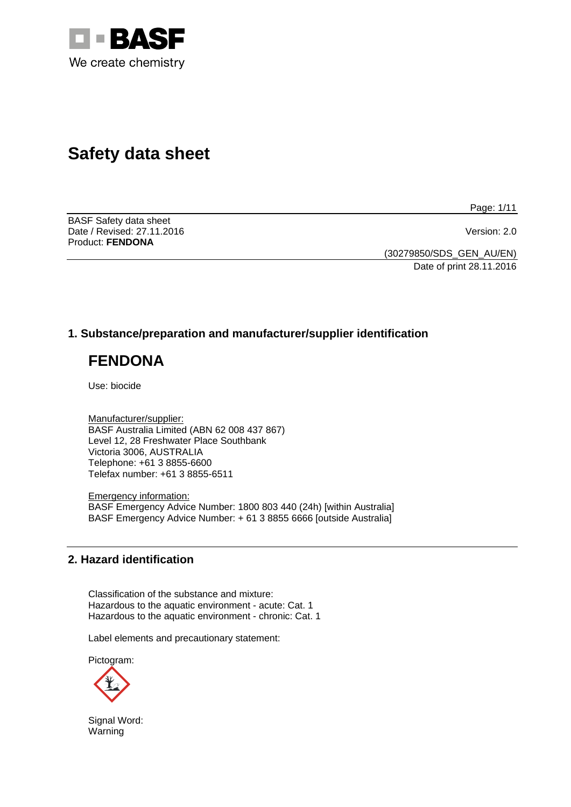

# **Safety data sheet**

Page: 1/11

BASF Safety data sheet Date / Revised: 27.11.2016 Version: 2.0 Product: **FENDONA**

(30279850/SDS\_GEN\_AU/EN) Date of print 28.11.2016

# **1. Substance/preparation and manufacturer/supplier identification**

# **FENDONA**

Use: biocide

Manufacturer/supplier: BASF Australia Limited (ABN 62 008 437 867) Level 12, 28 Freshwater Place Southbank Victoria 3006, AUSTRALIA Telephone: +61 3 8855-6600 Telefax number: +61 3 8855-6511

Emergency information: BASF Emergency Advice Number: 1800 803 440 (24h) [within Australia] BASF Emergency Advice Number: + 61 3 8855 6666 [outside Australia]

# **2. Hazard identification**

Classification of the substance and mixture: Hazardous to the aquatic environment - acute: Cat. 1 Hazardous to the aquatic environment - chronic: Cat. 1

Label elements and precautionary statement:

Pictogram:



Signal Word: Warning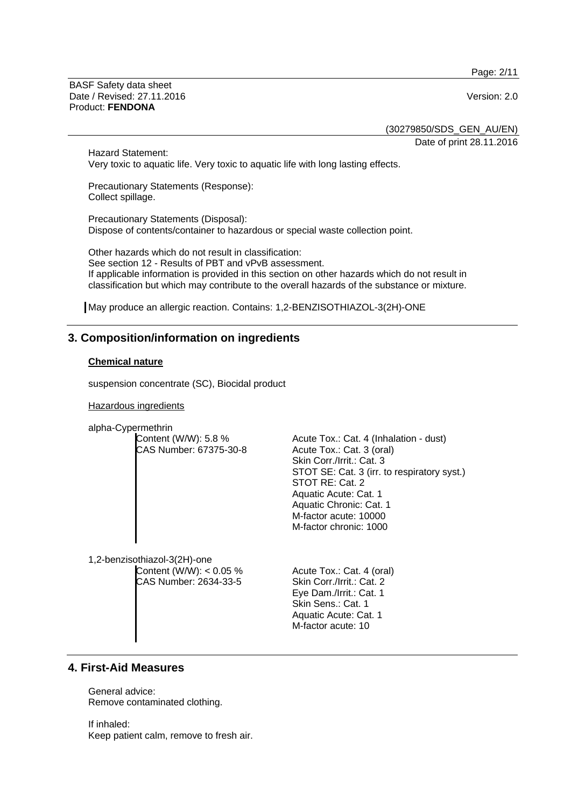Page: 2/11

BASF Safety data sheet Date / Revised: 27.11.2016 Version: 2.0 Product: **FENDONA**

(30279850/SDS\_GEN\_AU/EN)

Date of print 28.11.2016

Hazard Statement: Very toxic to aquatic life. Very toxic to aquatic life with long lasting effects.

Precautionary Statements (Response): Collect spillage.

Precautionary Statements (Disposal): Dispose of contents/container to hazardous or special waste collection point.

Other hazards which do not result in classification: See section 12 - Results of PBT and vPvB assessment. If applicable information is provided in this section on other hazards which do not result in classification but which may contribute to the overall hazards of the substance or mixture.

May produce an allergic reaction. Contains: 1,2-BENZISOTHIAZOL-3(2H)-ONE

# **3. Composition/information on ingredients**

### **Chemical nature**

suspension concentrate (SC), Biocidal product

Hazardous ingredients

alpha-Cypermethrin

Content (W/W): 5.8 % CAS Number: 67375-30-8

Acute Tox.: Cat. 4 (Inhalation - dust) Acute Tox.: Cat. 3 (oral) Skin Corr./Irrit.: Cat. 3 STOT SE: Cat. 3 (irr. to respiratory syst.) STOT RE: Cat. 2 Aquatic Acute: Cat. 1 Aquatic Chronic: Cat. 1 M-factor acute: 10000 M-factor chronic: 1000

1,2-benzisothiazol-3(2H)-one Content (W/W): < 0.05 % CAS Number: 2634-33-5

Acute Tox.: Cat. 4 (oral) Skin Corr./Irrit.: Cat. 2 Eye Dam./Irrit.: Cat. 1 Skin Sens.: Cat. 1 Aquatic Acute: Cat. 1 M-factor acute: 10

# **4. First-Aid Measures**

General advice: Remove contaminated clothing.

If inhaled: Keep patient calm, remove to fresh air.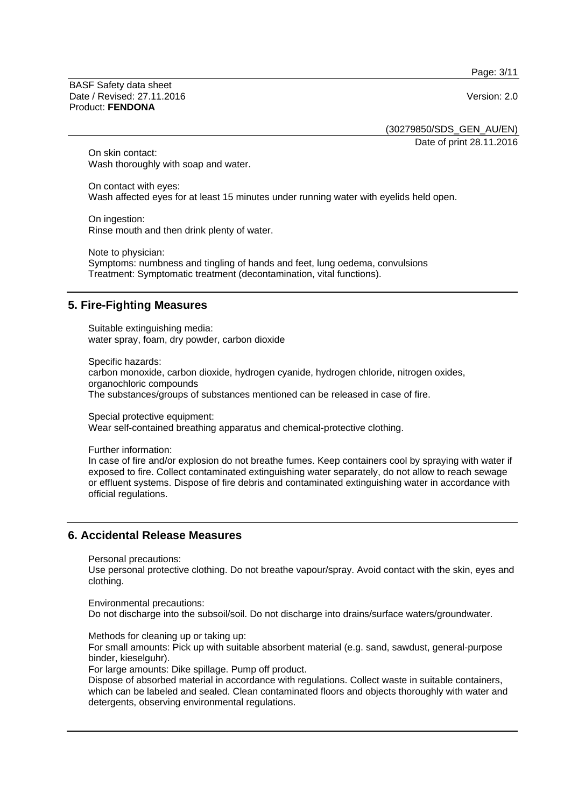Page: 3/11

BASF Safety data sheet Date / Revised: 27.11.2016 **Version: 2.0** Product: **FENDONA**

(30279850/SDS\_GEN\_AU/EN)

Date of print 28.11.2016

On skin contact: Wash thoroughly with soap and water.

On contact with eyes: Wash affected eyes for at least 15 minutes under running water with eyelids held open.

On ingestion: Rinse mouth and then drink plenty of water.

Note to physician: Symptoms: numbness and tingling of hands and feet, lung oedema, convulsions Treatment: Symptomatic treatment (decontamination, vital functions).

# **5. Fire-Fighting Measures**

Suitable extinguishing media: water spray, foam, dry powder, carbon dioxide

Specific hazards: carbon monoxide, carbon dioxide, hydrogen cyanide, hydrogen chloride, nitrogen oxides, organochloric compounds The substances/groups of substances mentioned can be released in case of fire.

Special protective equipment: Wear self-contained breathing apparatus and chemical-protective clothing.

Further information:

In case of fire and/or explosion do not breathe fumes. Keep containers cool by spraying with water if exposed to fire. Collect contaminated extinguishing water separately, do not allow to reach sewage or effluent systems. Dispose of fire debris and contaminated extinguishing water in accordance with official regulations.

### **6. Accidental Release Measures**

Personal precautions:

Use personal protective clothing. Do not breathe vapour/spray. Avoid contact with the skin, eyes and clothing.

Environmental precautions: Do not discharge into the subsoil/soil. Do not discharge into drains/surface waters/groundwater.

Methods for cleaning up or taking up:

For small amounts: Pick up with suitable absorbent material (e.g. sand, sawdust, general-purpose binder, kieselguhr).

For large amounts: Dike spillage. Pump off product.

Dispose of absorbed material in accordance with regulations. Collect waste in suitable containers, which can be labeled and sealed. Clean contaminated floors and objects thoroughly with water and detergents, observing environmental regulations.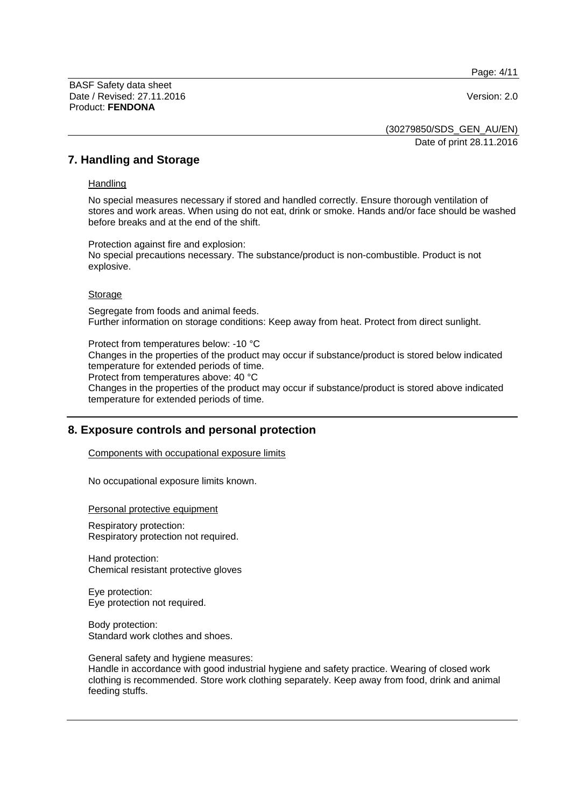Page: 4/11

BASF Safety data sheet Date / Revised: 27.11.2016 Version: 2.0 Product: **FENDONA**

(30279850/SDS\_GEN\_AU/EN) Date of print 28.11.2016

## **7. Handling and Storage**

#### **Handling**

No special measures necessary if stored and handled correctly. Ensure thorough ventilation of stores and work areas. When using do not eat, drink or smoke. Hands and/or face should be washed before breaks and at the end of the shift.

Protection against fire and explosion: No special precautions necessary. The substance/product is non-combustible. Product is not explosive.

#### Storage

Segregate from foods and animal feeds. Further information on storage conditions: Keep away from heat. Protect from direct sunlight.

Protect from temperatures below: -10 °C

Changes in the properties of the product may occur if substance/product is stored below indicated temperature for extended periods of time.

Protect from temperatures above: 40 °C

Changes in the properties of the product may occur if substance/product is stored above indicated temperature for extended periods of time.

# **8. Exposure controls and personal protection**

Components with occupational exposure limits

No occupational exposure limits known.

Personal protective equipment

Respiratory protection: Respiratory protection not required.

Hand protection: Chemical resistant protective gloves

Eye protection: Eye protection not required.

Body protection: Standard work clothes and shoes.

General safety and hygiene measures:

Handle in accordance with good industrial hygiene and safety practice. Wearing of closed work clothing is recommended. Store work clothing separately. Keep away from food, drink and animal feeding stuffs.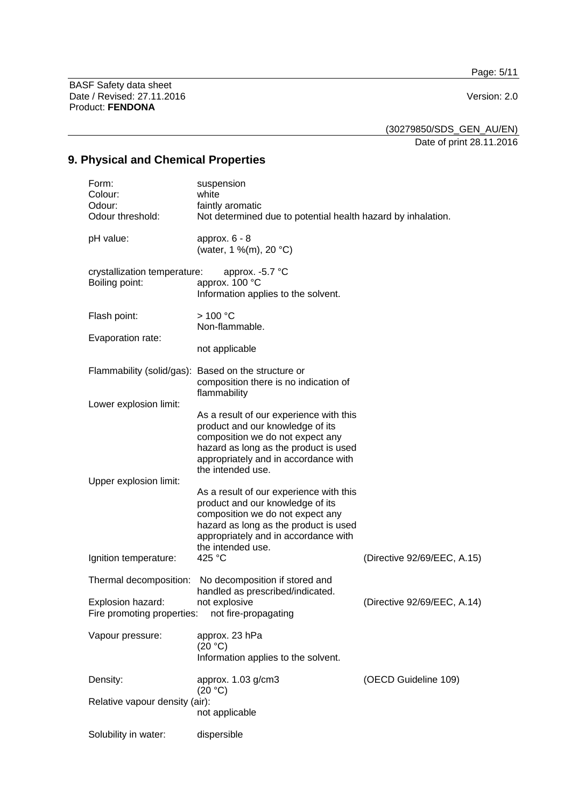Page: 5/11

BASF Safety data sheet Date / Revised: 27.11.2016 Version: 2.0 Product: **FENDONA**

(30279850/SDS\_GEN\_AU/EN)

Date of print 28.11.2016

# **9. Physical and Chemical Properties**

| Form:<br>Colour:<br>Odour:<br>Odour threshold:  | suspension<br>white<br>faintly aromatic<br>Not determined due to potential health hazard by inhalation.                                                                                                               |                             |
|-------------------------------------------------|-----------------------------------------------------------------------------------------------------------------------------------------------------------------------------------------------------------------------|-----------------------------|
| pH value:                                       | approx. $6 - 8$<br>(water, 1 %(m), 20 °C)                                                                                                                                                                             |                             |
| crystallization temperature:<br>Boiling point:  | approx. $-5.7$ °C<br>approx. 100 °C<br>Information applies to the solvent.                                                                                                                                            |                             |
| Flash point:                                    | >100 °C<br>Non-flammable.                                                                                                                                                                                             |                             |
| Evaporation rate:                               | not applicable                                                                                                                                                                                                        |                             |
|                                                 | Flammability (solid/gas): Based on the structure or<br>composition there is no indication of                                                                                                                          |                             |
| Lower explosion limit:                          | flammability<br>As a result of our experience with this                                                                                                                                                               |                             |
|                                                 | product and our knowledge of its<br>composition we do not expect any<br>hazard as long as the product is used<br>appropriately and in accordance with<br>the intended use.                                            |                             |
| Upper explosion limit:                          | As a result of our experience with this<br>product and our knowledge of its<br>composition we do not expect any<br>hazard as long as the product is used<br>appropriately and in accordance with<br>the intended use. |                             |
| Ignition temperature:                           | 425 °C                                                                                                                                                                                                                | (Directive 92/69/EEC, A.15) |
| Thermal decomposition:                          | No decomposition if stored and<br>handled as prescribed/indicated.                                                                                                                                                    |                             |
| Explosion hazard:<br>Fire promoting properties: | not explosive<br>not fire-propagating                                                                                                                                                                                 | (Directive 92/69/EEC, A.14) |
| Vapour pressure:                                | approx. 23 hPa<br>(20 °C)<br>Information applies to the solvent.                                                                                                                                                      |                             |
| Density:                                        | approx. 1.03 g/cm3<br>(20 °C)                                                                                                                                                                                         | (OECD Guideline 109)        |
| Relative vapour density (air):                  | not applicable                                                                                                                                                                                                        |                             |
| Solubility in water:                            | dispersible                                                                                                                                                                                                           |                             |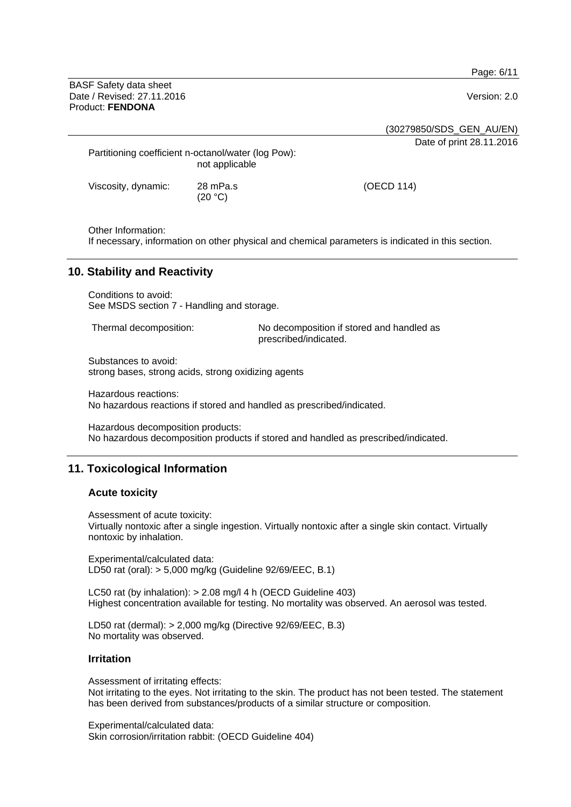Page: 6/11

BASF Safety data sheet Date / Revised: 27.11.2016 **Version: 2.0** Product: **FENDONA**

(30279850/SDS\_GEN\_AU/EN)

Date of print 28.11.2016

| Partitioning coefficient n-octanol/water (log Pow): | not applicable |
|-----------------------------------------------------|----------------|
| Viscosity, dynamic:                                 | 28 mPa.s       |

 $(20 °C)$ 

Other Information:

If necessary, information on other physical and chemical parameters is indicated in this section.

# **10. Stability and Reactivity**

Conditions to avoid: See MSDS section 7 - Handling and storage.

Thermal decomposition: No decomposition if stored and handled as prescribed/indicated.

(OECD 114)

Substances to avoid: strong bases, strong acids, strong oxidizing agents

Hazardous reactions: No hazardous reactions if stored and handled as prescribed/indicated.

Hazardous decomposition products: No hazardous decomposition products if stored and handled as prescribed/indicated.

# **11. Toxicological Information**

### **Acute toxicity**

Assessment of acute toxicity:

Virtually nontoxic after a single ingestion. Virtually nontoxic after a single skin contact. Virtually nontoxic by inhalation.

Experimental/calculated data: LD50 rat (oral): > 5,000 mg/kg (Guideline 92/69/EEC, B.1)

LC50 rat (by inhalation): > 2.08 mg/l 4 h (OECD Guideline 403) Highest concentration available for testing. No mortality was observed. An aerosol was tested.

LD50 rat (dermal): > 2,000 mg/kg (Directive 92/69/EEC, B.3) No mortality was observed.

### **Irritation**

Assessment of irritating effects:

Not irritating to the eyes. Not irritating to the skin. The product has not been tested. The statement has been derived from substances/products of a similar structure or composition.

Experimental/calculated data: Skin corrosion/irritation rabbit: (OECD Guideline 404)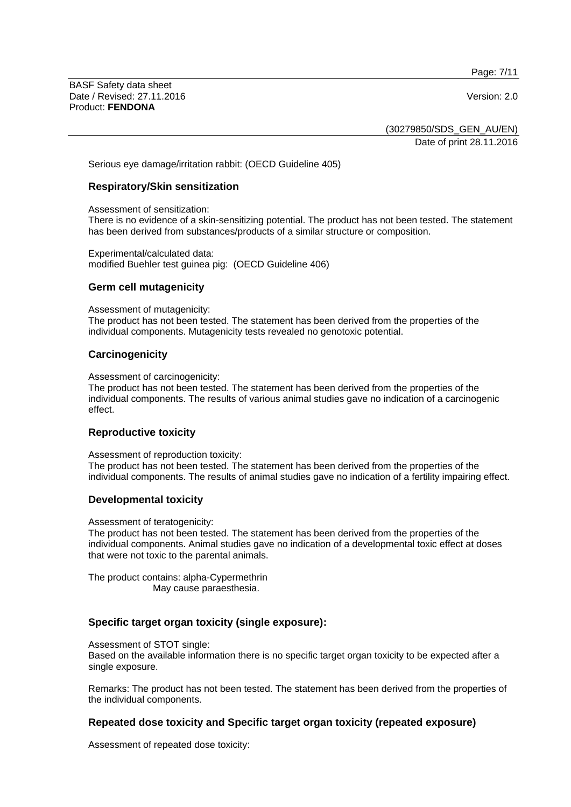Page: 7/11

BASF Safety data sheet Date / Revised: 27.11.2016 **Version: 2.0** Product: **FENDONA**

(30279850/SDS\_GEN\_AU/EN) Date of print 28.11.2016

Serious eye damage/irritation rabbit: (OECD Guideline 405)

#### **Respiratory/Skin sensitization**

Assessment of sensitization:

There is no evidence of a skin-sensitizing potential. The product has not been tested. The statement has been derived from substances/products of a similar structure or composition.

Experimental/calculated data: modified Buehler test guinea pig: (OECD Guideline 406)

#### **Germ cell mutagenicity**

Assessment of mutagenicity:

The product has not been tested. The statement has been derived from the properties of the individual components. Mutagenicity tests revealed no genotoxic potential.

#### **Carcinogenicity**

Assessment of carcinogenicity:

The product has not been tested. The statement has been derived from the properties of the individual components. The results of various animal studies gave no indication of a carcinogenic effect.

### **Reproductive toxicity**

Assessment of reproduction toxicity:

The product has not been tested. The statement has been derived from the properties of the individual components. The results of animal studies gave no indication of a fertility impairing effect.

#### **Developmental toxicity**

Assessment of teratogenicity:

The product has not been tested. The statement has been derived from the properties of the individual components. Animal studies gave no indication of a developmental toxic effect at doses that were not toxic to the parental animals.

The product contains: alpha-Cypermethrin May cause paraesthesia.

### **Specific target organ toxicity (single exposure):**

Assessment of STOT single:

Based on the available information there is no specific target organ toxicity to be expected after a single exposure.

Remarks: The product has not been tested. The statement has been derived from the properties of the individual components.

### **Repeated dose toxicity and Specific target organ toxicity (repeated exposure)**

Assessment of repeated dose toxicity: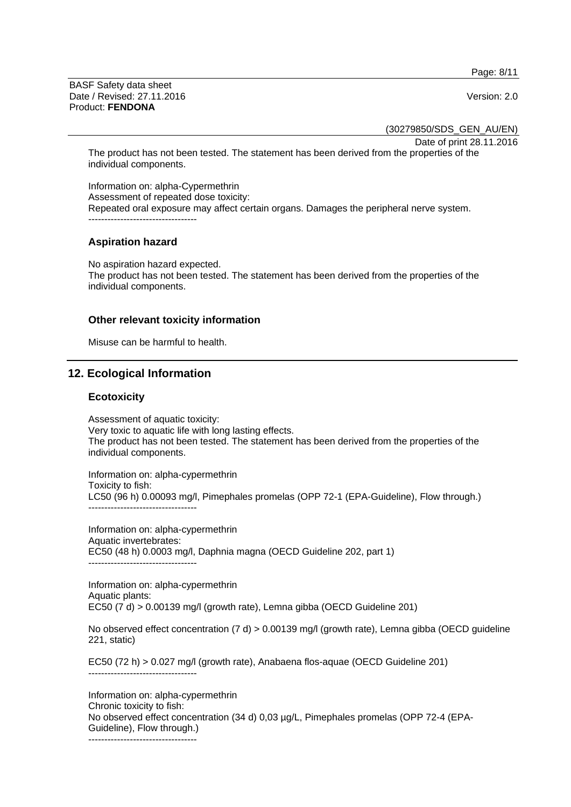Page: 8/11

BASF Safety data sheet Date / Revised: 27.11.2016 **Version: 2.0** Product: **FENDONA**

(30279850/SDS\_GEN\_AU/EN)

Date of print 28.11.2016

The product has not been tested. The statement has been derived from the properties of the individual components.

Information on: alpha-Cypermethrin Assessment of repeated dose toxicity: Repeated oral exposure may affect certain organs. Damages the peripheral nerve system. ----------------------------------

### **Aspiration hazard**

No aspiration hazard expected. The product has not been tested. The statement has been derived from the properties of the individual components.

#### **Other relevant toxicity information**

Misuse can be harmful to health.

## **12. Ecological Information**

#### **Ecotoxicity**

Assessment of aquatic toxicity: Very toxic to aquatic life with long lasting effects. The product has not been tested. The statement has been derived from the properties of the individual components.

Information on: alpha-cypermethrin Toxicity to fish: LC50 (96 h) 0.00093 mg/l, Pimephales promelas (OPP 72-1 (EPA-Guideline), Flow through.) ----------------------------------

Information on: alpha-cypermethrin Aquatic invertebrates: EC50 (48 h) 0.0003 mg/l, Daphnia magna (OECD Guideline 202, part 1) ----------------------------------

Information on: alpha-cypermethrin Aquatic plants: EC50  $(7 d)$  > 0.00139 mg/l (growth rate), Lemna gibba (OECD Guideline 201)

No observed effect concentration (7 d) > 0.00139 mg/l (growth rate), Lemna gibba (OECD guideline 221, static)

EC50 (72 h) > 0.027 mg/l (growth rate), Anabaena flos-aquae (OECD Guideline 201) ----------------------------------

Information on: alpha-cypermethrin Chronic toxicity to fish: No observed effect concentration (34 d) 0,03 µg/L, Pimephales promelas (OPP 72-4 (EPA-Guideline), Flow through.)

----------------------------------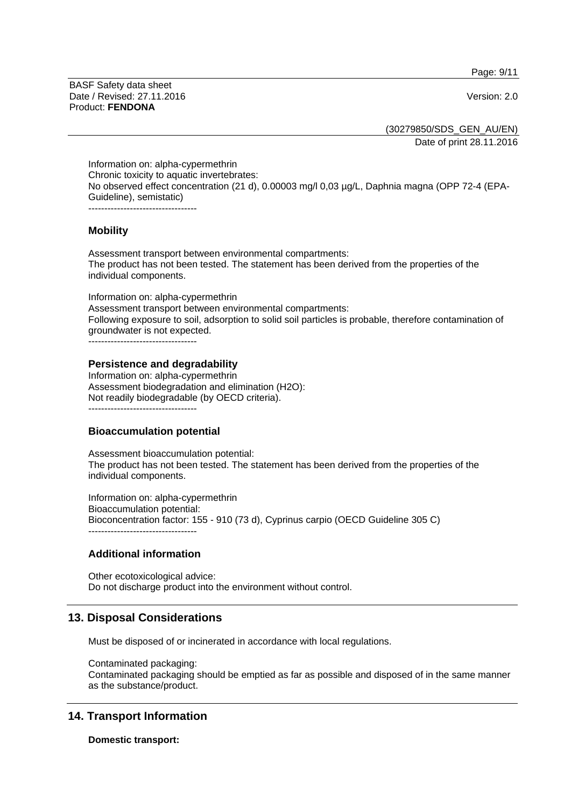Page: 9/11

BASF Safety data sheet Date / Revised: 27.11.2016 **Version: 2.0** Product: **FENDONA**

(30279850/SDS\_GEN\_AU/EN)

Date of print 28.11.2016

Information on: alpha-cypermethrin Chronic toxicity to aquatic invertebrates: No observed effect concentration (21 d), 0.00003 mg/l 0,03 µg/L, Daphnia magna (OPP 72-4 (EPA-Guideline), semistatic) ----------------------------------

### **Mobility**

Assessment transport between environmental compartments: The product has not been tested. The statement has been derived from the properties of the individual components.

Information on: alpha-cypermethrin Assessment transport between environmental compartments: Following exposure to soil, adsorption to solid soil particles is probable, therefore contamination of groundwater is not expected.

----------------------------------

#### **Persistence and degradability**

Information on: alpha-cypermethrin Assessment biodegradation and elimination (H2O): Not readily biodegradable (by OECD criteria).  $-$ 

### **Bioaccumulation potential**

Assessment bioaccumulation potential: The product has not been tested. The statement has been derived from the properties of the individual components.

Information on: alpha-cypermethrin Bioaccumulation potential: Bioconcentration factor: 155 - 910 (73 d), Cyprinus carpio (OECD Guideline 305 C) ----------------------------------

### **Additional information**

Other ecotoxicological advice: Do not discharge product into the environment without control.

### **13. Disposal Considerations**

Must be disposed of or incinerated in accordance with local regulations.

Contaminated packaging: Contaminated packaging should be emptied as far as possible and disposed of in the same manner as the substance/product.

### **14. Transport Information**

**Domestic transport:**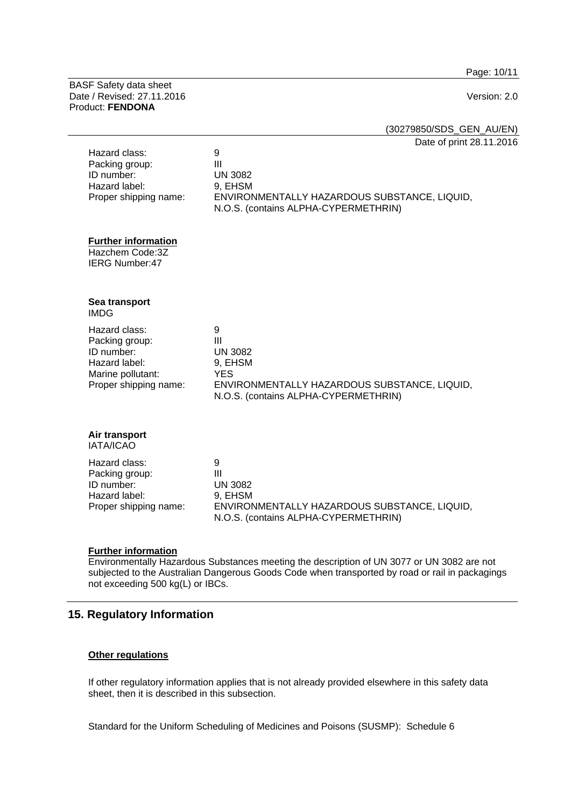Page: 10/11

BASF Safety data sheet Date / Revised: 27.11.2016 Version: 2.0 Product: **FENDONA**

(30279850/SDS\_GEN\_AU/EN)

Date of print 28.11.2016

| Hazard class:<br>Packing group:<br>ID number:<br>Hazard label:<br>Proper shipping name:                      | 9<br>Ш<br><b>UN 3082</b><br>9, EHSM<br>ENVIRONMENTALLY HAZARDOUS SUBSTANCE, LIQUID,<br>N.O.S. (contains ALPHA-CYPERMETHRIN)                 |  |
|--------------------------------------------------------------------------------------------------------------|---------------------------------------------------------------------------------------------------------------------------------------------|--|
| <b>Further information</b><br>Hazchem Code:3Z<br><b>IERG Number:47</b>                                       |                                                                                                                                             |  |
| Sea transport<br><b>IMDG</b>                                                                                 |                                                                                                                                             |  |
| Hazard class:<br>Packing group:<br>ID number:<br>Hazard label:<br>Marine pollutant:<br>Proper shipping name: | 9<br>III<br><b>UN 3082</b><br>9, EHSM<br><b>YES</b><br>ENVIRONMENTALLY HAZARDOUS SUBSTANCE, LIQUID,<br>N.O.S. (contains ALPHA-CYPERMETHRIN) |  |
| Air transport<br><b>IATA/ICAO</b>                                                                            |                                                                                                                                             |  |
| Hazard class:<br>Packing group:<br>ID number:<br>Hazard label:<br>Proper shipping name:                      | 9<br>$\mathbf{III}$<br><b>UN 3082</b><br>9, EHSM<br>ENVIRONMENTALLY HAZARDOUS SUBSTANCE, LIQUID,<br>N.O.S. (contains ALPHA-CYPERMETHRIN)    |  |
|                                                                                                              |                                                                                                                                             |  |

#### **Further information**

Environmentally Hazardous Substances meeting the description of UN 3077 or UN 3082 are not subjected to the Australian Dangerous Goods Code when transported by road or rail in packagings not exceeding 500 kg(L) or IBCs.

# **15. Regulatory Information**

### **Other regulations**

If other regulatory information applies that is not already provided elsewhere in this safety data sheet, then it is described in this subsection.

Standard for the Uniform Scheduling of Medicines and Poisons (SUSMP): Schedule 6